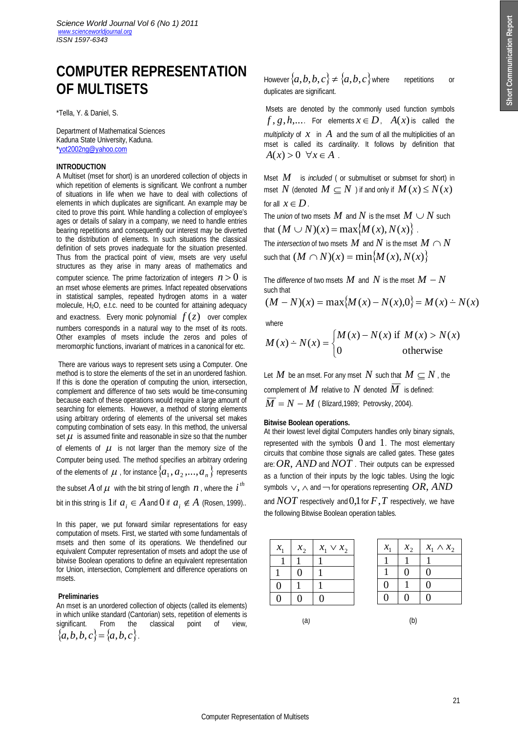# **COMPUTER REPRESENTATION OF MULTISETS**

\*Tella, Y. & Daniel, S.

Department of Mathematical Sciences Kaduna State University, Kaduna. \*yot2002ng@yahoo.com

# **INTRODUCTION**

A Multiset (mset for short) is an unordered collection of objects in which repetition of elements is significant. We confront a number of situations in life when we have to deal with collections of elements in which duplicates are significant. An example may be cited to prove this point. While handling a collection of employee's ages or details of salary in a company, we need to handle entries bearing repetitions and consequently our interest may be diverted to the distribution of elements. In such situations the classical definition of sets proves inadequate for the situation presented. Thus from the practical point of view, msets are very useful structures as they arise in many areas of mathematics and computer science. The prime factorization of integers  $n > 0$  is an mset whose elements are primes. Infact repeated observations in statistical samples, repeated hydrogen atoms in a water molecule, H2O, e.t.c. need to be counted for attaining adequacy and exactness. Every monic polynomial  $f(z)$  over complex numbers corresponds in a natural way to the mset of its roots. Other examples of msets include the zeros and poles of meromorphic functions, invariant of matrices in a canonical for etc.

There are various ways to represent sets using a Computer. One method is to store the elements of the set in an unordered fashion. If this is done the operation of computing the union, intersection, complement and difference of two sets would be time-consuming because each of these operations would require a large amount of searching for elements. However, a method of storing elements using arbitrary ordering of elements of the universal set makes computing combination of sets easy. In this method, the universal set  $\mu$  is assumed finite and reasonable in size so that the number of elements of  $\mu$  is not larger than the memory size of the Computer being used. The method specifies an arbitrary ordering of the elements of  $\mu$  , for instance  $\{a_1, a_2, ..., a_n\}$  represents

the subset  $A$  of  $\mu$  with the bit string of length  $n$ , where the  $i<sup>th</sup>$ 

bit in this string is 1 if  $a_i \in A$  and 0 if  $a_i \notin A$  (Rosen, 1999)..

In this paper, we put forward similar representations for easy computation of msets. First, we started with some fundamentals of msets and then some of its operations. We thendefined our equivalent Computer representation of msets and adopt the use of bitwise Boolean operations to define an equivalent representation for Union, intersection, Complement and difference operations on msets.

## **Preliminaries**

An mset is an unordered collection of objects (called its elements) in which unlike standard (Cantorian) sets, repetition of elements is significant. From the classical point of view, significant. From the classical point of view,  ${a,b,b,c} = {a,b,c}$ .

However  $\{a, b, b, c\} \neq \{a, b, c\}$  where repetitions or duplicates are significant.

Msets are denoted by the commonly used function symbols  $f$ ,  $g$ ,  $h$ ,.... For elements  $x \in D$ ,  $A(x)$  is called the *multiplicity* of *x* in *A* and the sum of all the multiplicities of an mset is called its *cardinality*. It follows by definition that  $A(x) > 0 \quad \forall x \in A$ .

Mset *M* is *included* ( or submultiset or submset for short) in mset *N* (denoted  $M \subseteq N$ ) if and only if  $M(x) \le N(x)$ for all  $x \in D$ .

The *union* of two msets  $M$  and  $N$  is the mset  $M \cup N$  such that  $(M \cup N)(x) = \max\{M(x), N(x)\}\.$ 

The *intersection* of two msets  $M$  and  $N$  is the mset  $M \cap N$ such that  $(M \cap N)(x) = \min\{M(x), N(x)\}$ 

The *difference* of two msets  $M$  and  $N$  is the mset  $M - N$ such that  $(M - N)(x) = \max\{M(x) - N(x), 0\} = M(x) - N(x)$ 

$$
(M - N)(\lambda) = \max_{i} (M(\lambda) - N(\lambda), 0_j - M(\lambda))
$$

where

$$
M(x) \doteq N(x) = \begin{cases} M(x) - N(x) & \text{if } M(x) > N(x) \\ 0 & \text{otherwise} \end{cases}
$$

Let  $M$  be an mset. For any mset  $N$  such that  $M \subseteq N$ , the complement of  $M$  relative to  $N$  denoted  $\overline{M}$  is defined:  $\overline{M}$  =  $N - M$  (Blizard, 1989; Petrovsky, 2004).

#### **Bitwise Boolean operations.**

At their lowest level digital Computers handles only binary signals, represented with the symbols  $0$  and  $1$ . The most elementary circuits that combine those signals are called gates. These gates are:*OR*, *AND* and *NOT* . Their outputs can be expressed as a function of their inputs by the logic tables. Using the logic symbols  $\vee$ ,  $\wedge$  and  $\neg$  for operations representing *OR*, *AND* 

and  $NOT$  respectively and 0,1 for  $F$ ,  $T$  respectively, we have the following Bitwise Boolean operation tables.

| $x_1$ | $x_2$ | $x_1 \vee x_2$ |  |
|-------|-------|----------------|--|
|       |       |                |  |
|       |       |                |  |
| D     |       |                |  |
|       |       | Π              |  |



 $(a)$  (b)